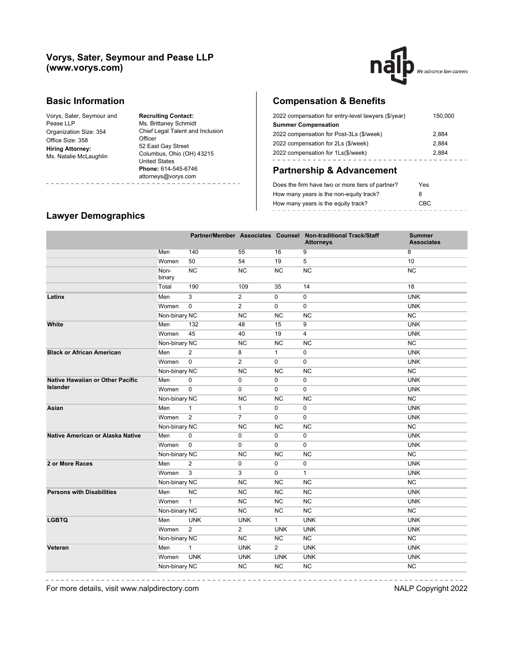#### **Vorys, Sater, Seymour and Pease LLP (www.vorys.com)**



#### **Basic Information**

Vorys, Sater, Seymour and Pease LLP Organization Size: 354 Office Size: 358 **Hiring Attorney:** Ms. Natalie McLaughlin

**Recruiting Contact:** Ms. Brittaney Schmidt Chief Legal Talent and Inclusion **Officer** 52 East Gay Street Columbus, Ohio (OH) 43215 United States **Phone:** 614-545-6746 attorneys@vorys.com . . . . . . . . . . .

# **Compensation & Benefits**

| 2022 compensation for entry-level lawyers (\$/year) | 150,000 |
|-----------------------------------------------------|---------|
| <b>Summer Compensation</b>                          |         |
| 2022 compensation for Post-3Ls (\$/week)            | 2.884   |
| 2022 compensation for 2Ls (\$/week)                 | 2.884   |
| 2022 compensation for 1Ls(\$/week)                  | 2.884   |
|                                                     |         |

### **Partnership & Advancement**

| Does the firm have two or more tiers of partner? | Yes  |
|--------------------------------------------------|------|
| How many years is the non-equity track?          | 8    |
| How many years is the equity track?              | CBC. |
|                                                  |      |

### **Lawyer Demographics**

------------

|                                  |                |                |                |                | Partner/Member Associates Counsel Non-traditional Track/Staff<br><b>Attorneys</b> | <b>Summer</b><br><b>Associates</b> |
|----------------------------------|----------------|----------------|----------------|----------------|-----------------------------------------------------------------------------------|------------------------------------|
|                                  | Men            | 140            | 55             | 16             | 9                                                                                 | 8                                  |
|                                  | Women          | 50             | 54             | 19             | 5                                                                                 | 10                                 |
|                                  | Non-<br>binary | <b>NC</b>      | <b>NC</b>      | <b>NC</b>      | <b>NC</b>                                                                         | <b>NC</b>                          |
|                                  | Total          | 190            | 109            | 35             | 14                                                                                | 18                                 |
| Latinx                           | Men            | 3              | $\overline{2}$ | 0              | 0                                                                                 | <b>UNK</b>                         |
|                                  | Women          | $\mathbf 0$    | $\overline{2}$ | 0              | $\mathbf 0$                                                                       | <b>UNK</b>                         |
|                                  | Non-binary NC  |                | <b>NC</b>      | <b>NC</b>      | <b>NC</b>                                                                         | NC                                 |
| White                            | Men            | 132            | 48             | 15             | 9                                                                                 | <b>UNK</b>                         |
|                                  | Women          | 45             | 40             | 19             | $\overline{4}$                                                                    | <b>UNK</b>                         |
|                                  | Non-binary NC  |                | <b>NC</b>      | <b>NC</b>      | <b>NC</b>                                                                         | <b>NC</b>                          |
| <b>Black or African American</b> | Men            | 2              | 8              | $\mathbf{1}$   | $\mathbf 0$                                                                       | <b>UNK</b>                         |
|                                  | Women          | $\mathbf 0$    | $\overline{2}$ | $\Omega$       | $\Omega$                                                                          | <b>UNK</b>                         |
|                                  | Non-binary NC  |                | <b>NC</b>      | <b>NC</b>      | <b>NC</b>                                                                         | NC                                 |
| Native Hawaiian or Other Pacific | Men            | 0              | 0              | 0              | 0                                                                                 | <b>UNK</b>                         |
| <b>Islander</b>                  | Women          | $\mathbf 0$    | 0              | 0              | 0                                                                                 | <b>UNK</b>                         |
|                                  | Non-binary NC  |                | <b>NC</b>      | <b>NC</b>      | <b>NC</b>                                                                         | NC                                 |
| Asian                            | Men            | $\mathbf{1}$   | $\mathbf{1}$   | 0              | $\mathbf 0$                                                                       | <b>UNK</b>                         |
|                                  | Women          | 2              | $\overline{7}$ | $\Omega$       | 0                                                                                 | <b>UNK</b>                         |
|                                  | Non-binary NC  |                | NC             | NC             | NC                                                                                | NC                                 |
| Native American or Alaska Native | Men            | 0              | 0              | 0              | 0                                                                                 | <b>UNK</b>                         |
|                                  | Women          | $\mathbf 0$    | 0              | 0              | 0                                                                                 | <b>UNK</b>                         |
|                                  | Non-binary NC  |                | <b>NC</b>      | <b>NC</b>      | <b>NC</b>                                                                         | NC                                 |
| 2 or More Races                  | Men            | $\overline{2}$ | 0              | 0              | 0                                                                                 | <b>UNK</b>                         |
|                                  | Women          | $\overline{3}$ | 3              | 0              | $\mathbf{1}$                                                                      | <b>UNK</b>                         |
|                                  | Non-binary NC  |                | NC             | NC             | NC                                                                                | NC                                 |
| <b>Persons with Disabilities</b> | Men            | NC             | NC             | NC             | NC                                                                                | <b>UNK</b>                         |
|                                  | Women          | $\mathbf{1}$   | <b>NC</b>      | <b>NC</b>      | <b>NC</b>                                                                         | <b>UNK</b>                         |
|                                  | Non-binary NC  |                | <b>NC</b>      | <b>NC</b>      | <b>NC</b>                                                                         | NC                                 |
| <b>LGBTQ</b>                     | Men            | <b>UNK</b>     | <b>UNK</b>     | $\mathbf{1}$   | <b>UNK</b>                                                                        | <b>UNK</b>                         |
|                                  | Women          | 2              | $\overline{2}$ | <b>UNK</b>     | <b>UNK</b>                                                                        | <b>UNK</b>                         |
|                                  | Non-binary NC  |                | NC             | <b>NC</b>      | NC                                                                                | NC                                 |
| Veteran                          | Men            | $\mathbf{1}$   | <b>UNK</b>     | $\overline{2}$ | <b>UNK</b>                                                                        | <b>UNK</b>                         |
|                                  | Women          | <b>UNK</b>     | <b>UNK</b>     | <b>UNK</b>     | <b>UNK</b>                                                                        | <b>UNK</b>                         |
|                                  | Non-binary NC  |                | <b>NC</b>      | <b>NC</b>      | NC                                                                                | NC                                 |
|                                  |                |                |                |                |                                                                                   |                                    |

For more details, visit www.nalpdirectory.com **NALP** Copyright 2022

-----------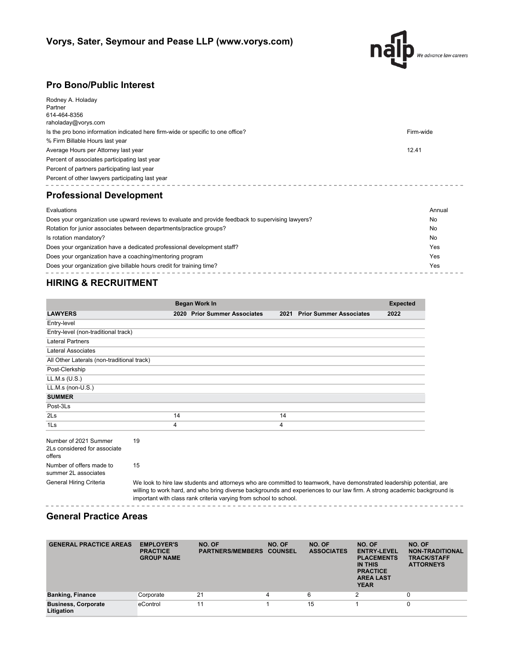

### **Pro Bono/Public Interest**

| Rodney A. Holaday                                                                                  |        |  |  |  |  |  |  |
|----------------------------------------------------------------------------------------------------|--------|--|--|--|--|--|--|
| Partner                                                                                            |        |  |  |  |  |  |  |
| 614-464-8356                                                                                       |        |  |  |  |  |  |  |
| raholaday@vorys.com                                                                                |        |  |  |  |  |  |  |
| Firm-wide<br>Is the pro bono information indicated here firm-wide or specific to one office?       |        |  |  |  |  |  |  |
| % Firm Billable Hours last year                                                                    |        |  |  |  |  |  |  |
| 12.41<br>Average Hours per Attorney last year                                                      |        |  |  |  |  |  |  |
| Percent of associates participating last year                                                      |        |  |  |  |  |  |  |
| Percent of partners participating last year                                                        |        |  |  |  |  |  |  |
| Percent of other lawyers participating last year                                                   |        |  |  |  |  |  |  |
| <b>Professional Development</b>                                                                    |        |  |  |  |  |  |  |
| Evaluations                                                                                        | Annual |  |  |  |  |  |  |
| Does your organization use upward reviews to evaluate and provide feedback to supervising lawyers? | No     |  |  |  |  |  |  |
| Rotation for junior associates between departments/practice groups?                                | No     |  |  |  |  |  |  |
| Is rotation mandatory?                                                                             | No     |  |  |  |  |  |  |
| Does your organization have a dedicated professional development staff?                            | Yes    |  |  |  |  |  |  |
| Does your organization have a coaching/mentoring program                                           | Yes    |  |  |  |  |  |  |

Does your organization give billable hours credit for training time? Yes  $- - - -$ 

## **HIRING & RECRUITMENT**

|                                                                 |    |    | Began Work In                                                     |    |                                                                                                                                                                                                                                                   | <b>Expected</b> |
|-----------------------------------------------------------------|----|----|-------------------------------------------------------------------|----|---------------------------------------------------------------------------------------------------------------------------------------------------------------------------------------------------------------------------------------------------|-----------------|
| <b>LAWYERS</b>                                                  |    |    | 2020 Prior Summer Associates                                      |    | 2021 Prior Summer Associates                                                                                                                                                                                                                      | 2022            |
| Entry-level                                                     |    |    |                                                                   |    |                                                                                                                                                                                                                                                   |                 |
| Entry-level (non-traditional track)                             |    |    |                                                                   |    |                                                                                                                                                                                                                                                   |                 |
| <b>Lateral Partners</b>                                         |    |    |                                                                   |    |                                                                                                                                                                                                                                                   |                 |
| Lateral Associates                                              |    |    |                                                                   |    |                                                                                                                                                                                                                                                   |                 |
| All Other Laterals (non-traditional track)                      |    |    |                                                                   |    |                                                                                                                                                                                                                                                   |                 |
| Post-Clerkship                                                  |    |    |                                                                   |    |                                                                                                                                                                                                                                                   |                 |
| LL.M.s (U.S.)                                                   |    |    |                                                                   |    |                                                                                                                                                                                                                                                   |                 |
| LL.M.s (non-U.S.)                                               |    |    |                                                                   |    |                                                                                                                                                                                                                                                   |                 |
| <b>SUMMER</b>                                                   |    |    |                                                                   |    |                                                                                                                                                                                                                                                   |                 |
| Post-3Ls                                                        |    |    |                                                                   |    |                                                                                                                                                                                                                                                   |                 |
| $2\mathsf{Ls}$                                                  |    | 14 |                                                                   | 14 |                                                                                                                                                                                                                                                   |                 |
| 1 <sub>ls</sub>                                                 |    | 4  |                                                                   | 4  |                                                                                                                                                                                                                                                   |                 |
| Number of 2021 Summer<br>2Ls considered for associate<br>offers | 19 |    |                                                                   |    |                                                                                                                                                                                                                                                   |                 |
| Number of offers made to<br>summer 2L associates                | 15 |    |                                                                   |    |                                                                                                                                                                                                                                                   |                 |
| General Hiring Criteria                                         |    |    | important with class rank criteria varying from school to school. |    | We look to hire law students and attorneys who are committed to teamwork, have demonstrated leadership potential, are<br>willing to work hard, and who bring diverse backgrounds and experiences to our law firm. A strong academic background is |                 |

#### **General Practice Areas**

| <b>GENERAL PRACTICE AREAS</b>            | <b>EMPLOYER'S</b><br><b>PRACTICE</b><br><b>GROUP NAME</b> | NO. OF<br><b>PARTNERS/MEMBERS</b> | NO. OF<br><b>COUNSEL</b> | NO. OF<br><b>ASSOCIATES</b> | NO. OF<br><b>ENTRY-LEVEL</b><br><b>PLACEMENTS</b><br>IN THIS<br><b>PRACTICE</b><br><b>AREA LAST</b><br><b>YEAR</b> | NO. OF<br><b>NON-TRADITIONAL</b><br><b>TRACK/STAFF</b><br><b>ATTORNEYS</b> |
|------------------------------------------|-----------------------------------------------------------|-----------------------------------|--------------------------|-----------------------------|--------------------------------------------------------------------------------------------------------------------|----------------------------------------------------------------------------|
| <b>Banking, Finance</b>                  | Corporate                                                 | 21                                | 4                        | 6                           | ◠                                                                                                                  | 0                                                                          |
| <b>Business, Corporate</b><br>Litigation | eControl                                                  | 11                                |                          | 15                          |                                                                                                                    | 0                                                                          |